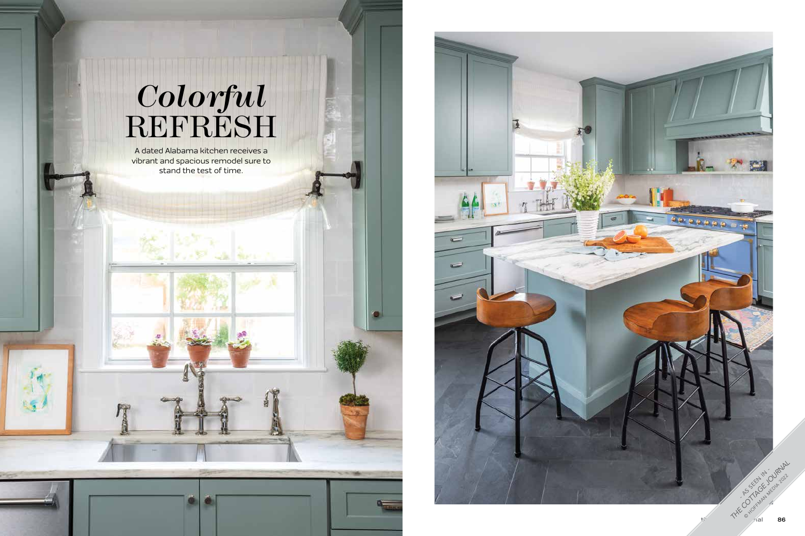## *Colorful* REFRESH



A dated Alabama kitchen receives a vibrant and spacious remodel sure to stand the test of time.

ther's

Q.